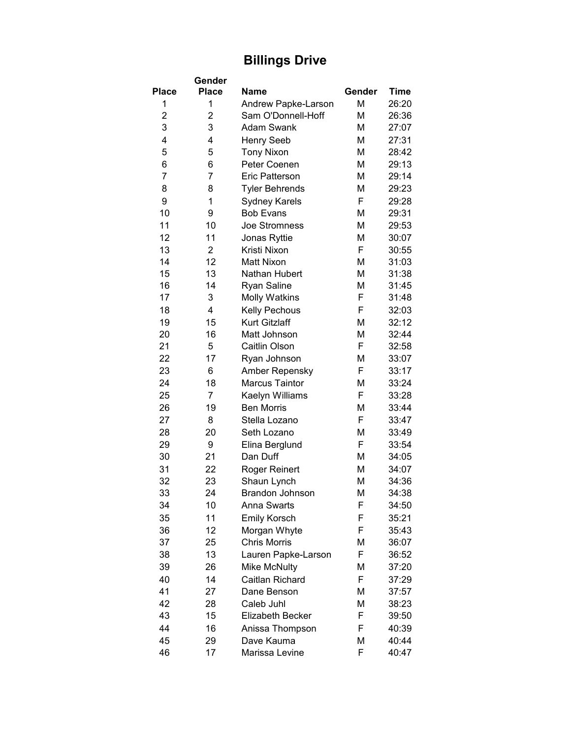## **Billings Drive**

|                | Gender         |                         |        |             |
|----------------|----------------|-------------------------|--------|-------------|
| <b>Place</b>   | <b>Place</b>   | <b>Name</b>             | Gender | <b>Time</b> |
| 1              | 1              | Andrew Papke-Larson     | M      | 26:20       |
| $\overline{2}$ | 2              | Sam O'Donnell-Hoff      | М      | 26:36       |
| 3              | 3              | <b>Adam Swank</b>       | М      | 27:07       |
| 4              | 4              | <b>Henry Seeb</b>       | M      | 27:31       |
| 5              | 5              | <b>Tony Nixon</b>       | M      | 28:42       |
| 6              | 6              | Peter Coenen            | M      | 29:13       |
| 7              | 7              | <b>Eric Patterson</b>   | M      | 29:14       |
| 8              | 8              | <b>Tyler Behrends</b>   | М      | 29:23       |
| 9              | 1              | <b>Sydney Karels</b>    | F      | 29:28       |
| 10             | 9              | <b>Bob Evans</b>        | M      | 29:31       |
| 11             | 10             | Joe Stromness           | M      | 29:53       |
| 12             | 11             | Jonas Ryttie            | M      | 30:07       |
| 13             | $\overline{2}$ | Kristi Nixon            | F      | 30:55       |
| 14             | 12             | <b>Matt Nixon</b>       | M      | 31:03       |
| 15             | 13             | <b>Nathan Hubert</b>    | M      | 31:38       |
| 16             | 14             | Ryan Saline             | M      | 31:45       |
| 17             | 3              | <b>Molly Watkins</b>    | F      | 31:48       |
| 18             | $\overline{4}$ | Kelly Pechous           | F      | 32:03       |
| 19             | 15             | <b>Kurt Gitzlaff</b>    | M      | 32:12       |
| 20             | 16             | Matt Johnson            | M      | 32:44       |
| 21             | 5              | Caitlin Olson           | F      | 32:58       |
| 22             | 17             | Ryan Johnson            | М      | 33:07       |
| 23             | 6              | Amber Repensky          | F      | 33:17       |
| 24             | 18             | <b>Marcus Taintor</b>   | M      | 33:24       |
| 25             | 7              | Kaelyn Williams         | F      | 33:28       |
| 26             | 19             | <b>Ben Morris</b>       | М      | 33:44       |
| 27             | 8              | Stella Lozano           | F      | 33:47       |
| 28             | 20             | Seth Lozano             | M      | 33:49       |
| 29             | 9              | Elina Berglund          | F      | 33:54       |
| 30             | 21             | Dan Duff                | M      | 34:05       |
| 31             | 22             | Roger Reinert           | М      | 34:07       |
| 32             | 23             | Shaun Lynch             | M      | 34:36       |
| 33             | 24             | Brandon Johnson         | M      | 34:38       |
| 34             | 10             | Anna Swarts             | F      | 34:50       |
| 35             | 11             | <b>Emily Korsch</b>     | F      | 35:21       |
| 36             | 12             | Morgan Whyte            | F      | 35:43       |
| 37             | 25             | <b>Chris Morris</b>     | М      | 36:07       |
| 38             | 13             | Lauren Papke-Larson     | F      | 36:52       |
| 39             | 26             | <b>Mike McNulty</b>     | М      | 37:20       |
| 40             | 14             | Caitlan Richard         | F      | 37:29       |
| 41             | 27             | Dane Benson             | M      | 37:57       |
| 42             | 28             | Caleb Juhl              | М      | 38:23       |
| 43             | 15             | <b>Elizabeth Becker</b> | F      | 39:50       |
| 44             | 16             | Anissa Thompson         | F      | 40:39       |
| 45             | 29             | Dave Kauma              | М      | 40:44       |
| 46             | 17             | Marissa Levine          | F      | 40:47       |
|                |                |                         |        |             |